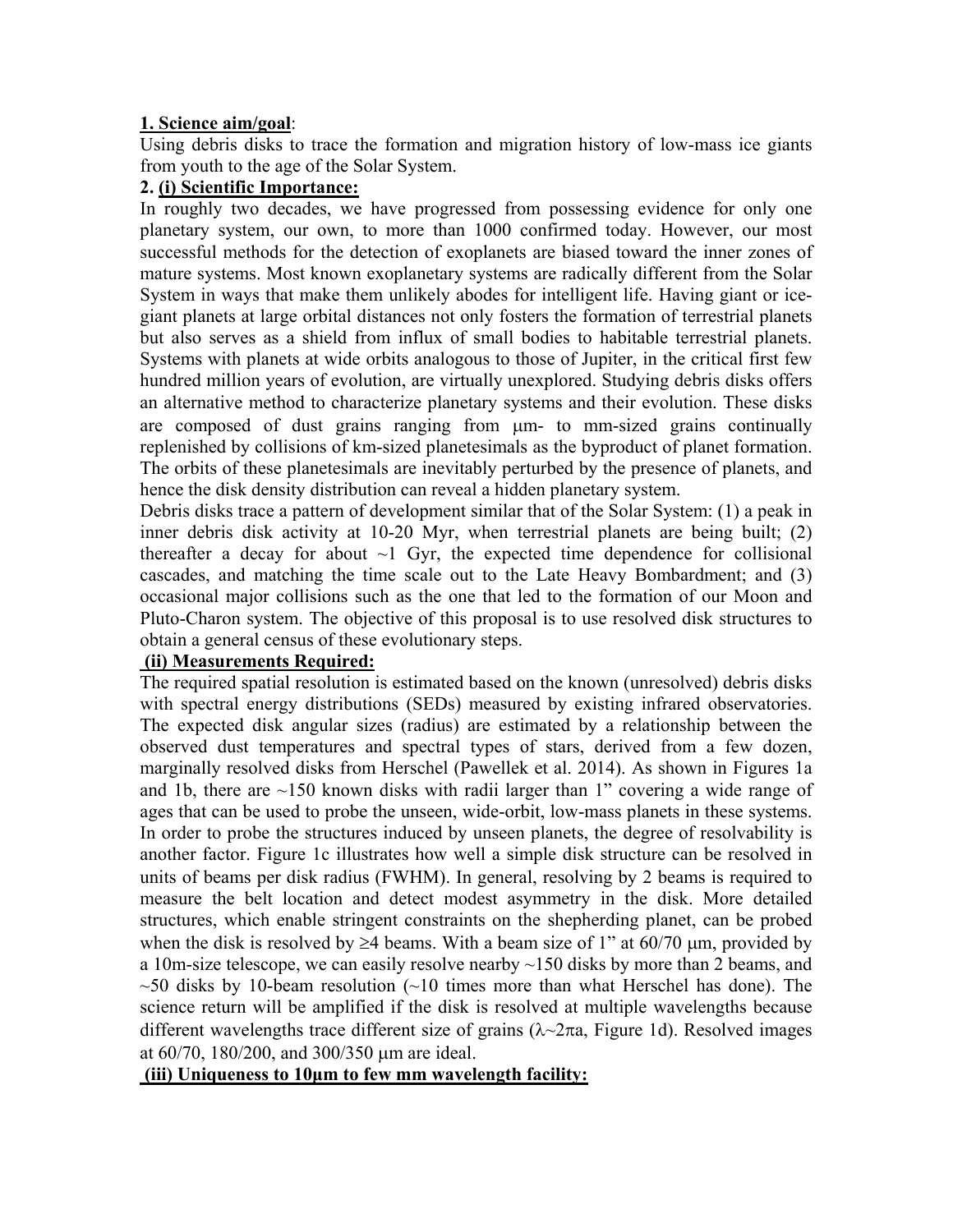# **1. Science aim/goal**:

Using debris disks to trace the formation and migration history of low-mass ice giants from youth to the age of the Solar System.

## **2. (i) Scientific Importance:**

In roughly two decades, we have progressed from possessing evidence for only one planetary system, our own, to more than 1000 confirmed today. However, our most successful methods for the detection of exoplanets are biased toward the inner zones of mature systems. Most known exoplanetary systems are radically different from the Solar System in ways that make them unlikely abodes for intelligent life. Having giant or icegiant planets at large orbital distances not only fosters the formation of terrestrial planets but also serves as a shield from influx of small bodies to habitable terrestrial planets. Systems with planets at wide orbits analogous to those of Jupiter, in the critical first few hundred million years of evolution, are virtually unexplored. Studying debris disks offers an alternative method to characterize planetary systems and their evolution. These disks are composed of dust grains ranging from  $\mu$ m- to mm-sized grains continually replenished by collisions of km-sized planetesimals as the byproduct of planet formation. The orbits of these planetesimals are inevitably perturbed by the presence of planets, and hence the disk density distribution can reveal a hidden planetary system.

Debris disks trace a pattern of development similar that of the Solar System: (1) a peak in inner debris disk activity at 10-20 Myr, when terrestrial planets are being built; (2) thereafter a decay for about  $\sim$ 1 Gyr, the expected time dependence for collisional cascades, and matching the time scale out to the Late Heavy Bombardment; and (3) occasional major collisions such as the one that led to the formation of our Moon and Pluto-Charon system. The objective of this proposal is to use resolved disk structures to obtain a general census of these evolutionary steps.

# **(ii) Measurements Required:**

The required spatial resolution is estimated based on the known (unresolved) debris disks with spectral energy distributions (SEDs) measured by existing infrared observatories. The expected disk angular sizes (radius) are estimated by a relationship between the observed dust temperatures and spectral types of stars, derived from a few dozen, marginally resolved disks from Herschel (Pawellek et al. 2014). As shown in Figures 1a and 1b, there are  $\sim$ 150 known disks with radii larger than 1" covering a wide range of ages that can be used to probe the unseen, wide-orbit, low-mass planets in these systems. In order to probe the structures induced by unseen planets, the degree of resolvability is another factor. Figure 1c illustrates how well a simple disk structure can be resolved in units of beams per disk radius (FWHM). In general, resolving by 2 beams is required to measure the belt location and detect modest asymmetry in the disk. More detailed structures, which enable stringent constraints on the shepherding planet, can be probed when the disk is resolved by  $\geq$ 4 beams. With a beam size of 1" at 60/70  $\mu$ m, provided by a 10m-size telescope, we can easily resolve nearby  $\sim$ 150 disks by more than 2 beams, and  $\sim$  50 disks by 10-beam resolution ( $\sim$  10 times more than what Herschel has done). The science return will be amplified if the disk is resolved at multiple wavelengths because different wavelengths trace different size of grains  $(\lambda \sim 2\pi a$ , Figure 1d). Resolved images at  $60/70$ ,  $180/200$ , and  $300/350$  µm are ideal.

### **(iii) Uniqueness to 10μm to few mm wavelength facility:**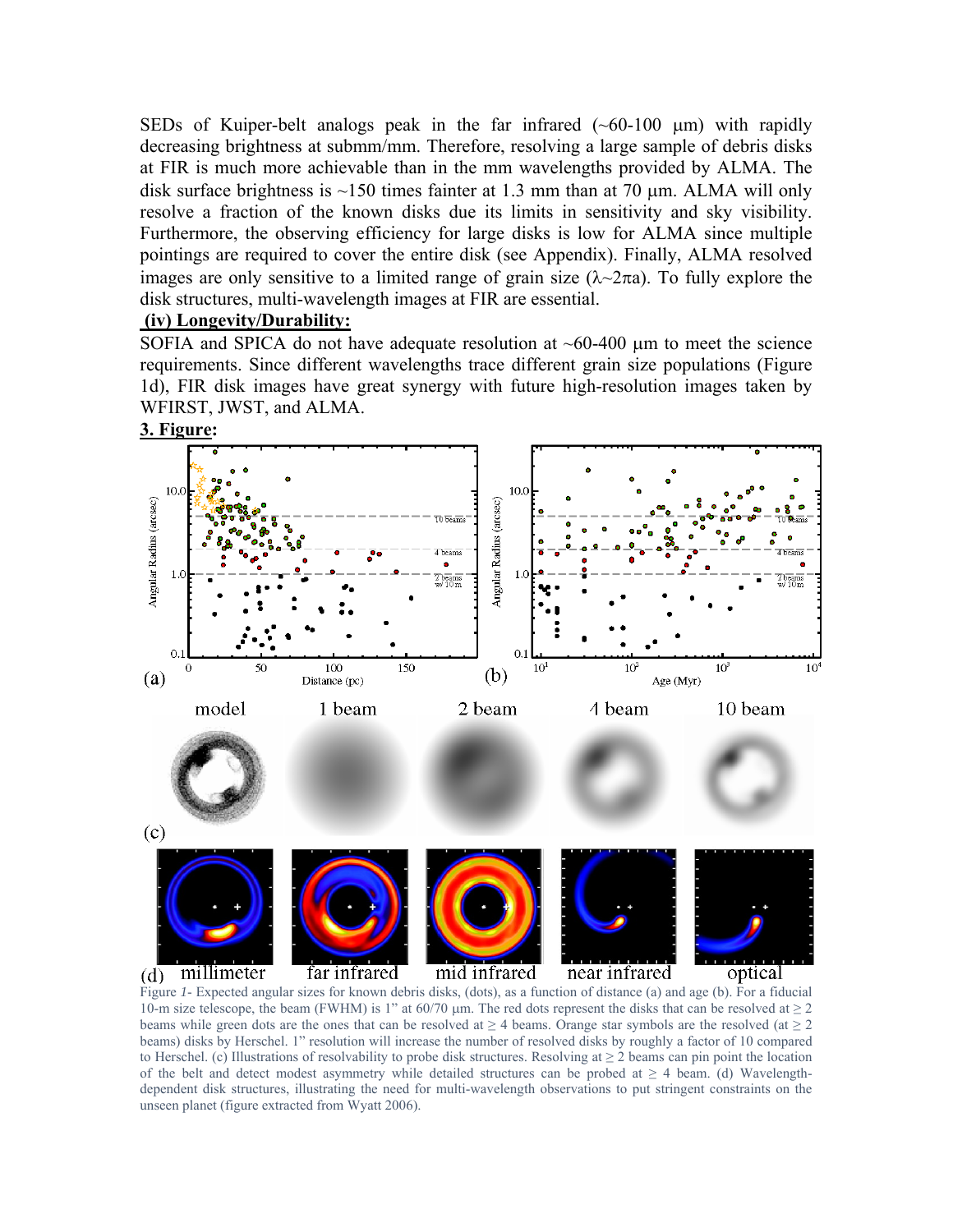SEDs of Kuiper-belt analogs peak in the far infrared  $(\sim 60-100 \mu m)$  with rapidly decreasing brightness at submm/mm. Therefore, resolving a large sample of debris disks at FIR is much more achievable than in the mm wavelengths provided by ALMA. The disk surface brightness is  $\sim$ 150 times fainter at 1.3 mm than at 70 µm. ALMA will only resolve a fraction of the known disks due its limits in sensitivity and sky visibility. Furthermore, the observing efficiency for large disks is low for ALMA since multiple pointings are required to cover the entire disk (see Appendix). Finally, ALMA resolved images are only sensitive to a limited range of grain size  $(\lambda \sim 2\pi a)$ . To fully explore the disk structures, multi-wavelength images at FIR are essential.

#### **(iv) Longevity/Durability:**

SOFIA and SPICA do not have adequate resolution at  $\sim 60-400$  µm to meet the science requirements. Since different wavelengths trace different grain size populations (Figure 1d), FIR disk images have great synergy with future high-resolution images taken by WFIRST, JWST, and ALMA.



10-m size telescope, the beam (FWHM) is 1" at 60/70  $\mu$ m. The red dots represent the disks that can be resolved at  $\geq$  2 beams while green dots are the ones that can be resolved at  $\geq 4$  beams. Orange star symbols are the resolved (at  $\geq 2$ ) beams) disks by Herschel. 1" resolution will increase the number of resolved disks by roughly a factor of 10 compared to Herschel. (c) Illustrations of resolvability to probe disk structures. Resolving at  $\geq 2$  beams can pin point the location of the belt and detect modest asymmetry while detailed structures can be probed at  $\geq 4$  beam. (d) Wavelengthdependent disk structures, illustrating the need for multi-wavelength observations to put stringent constraints on the unseen planet (figure extracted from Wyatt 2006).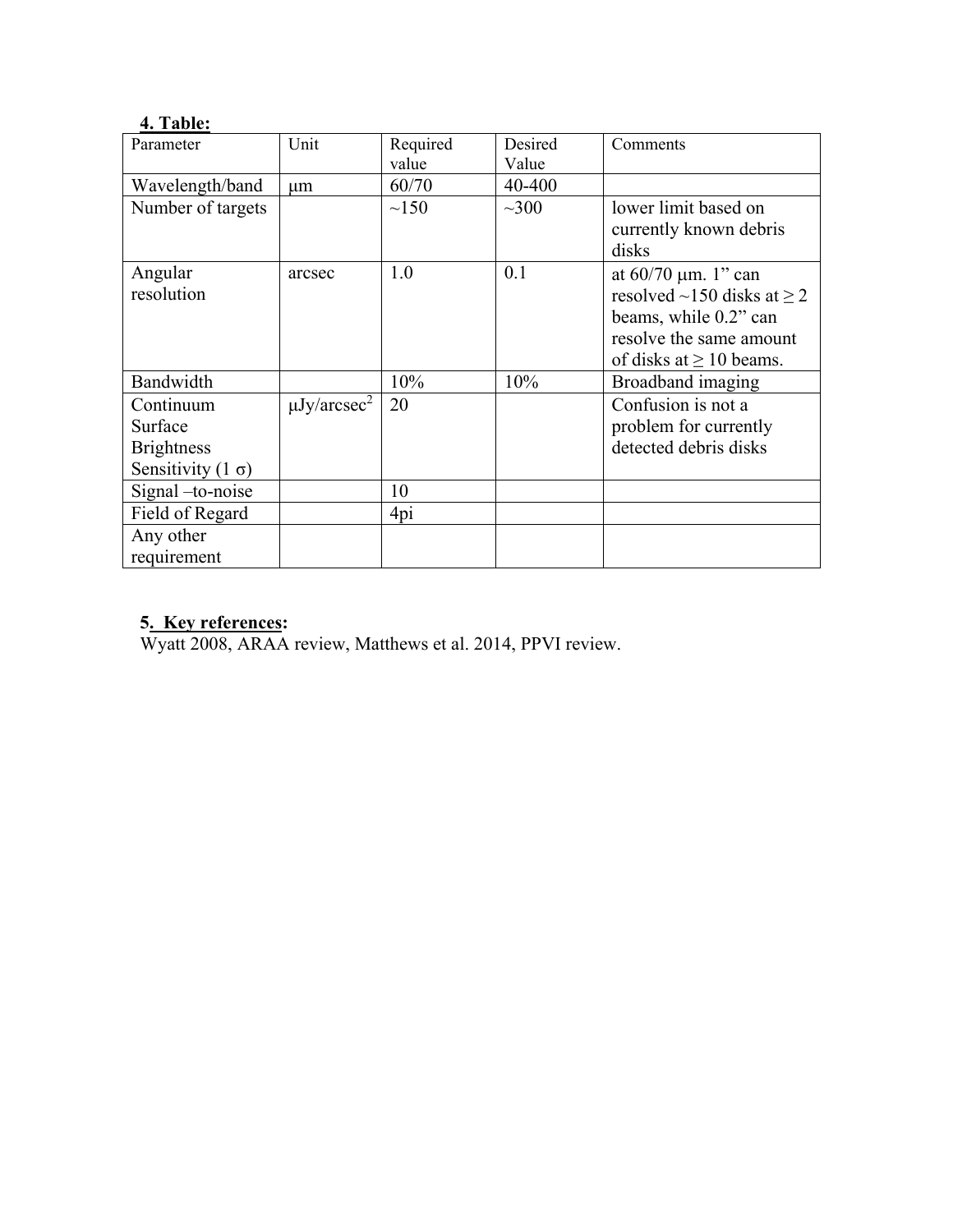# **4. Table:**

| Parameter                | Unit                         | Required   | Desired    | Comments                              |
|--------------------------|------------------------------|------------|------------|---------------------------------------|
|                          |                              | value      | Value      |                                       |
| Wavelength/band          | $\mu$ m                      | 60/70      | 40-400     |                                       |
| Number of targets        |                              | $\sim$ 150 | $\sim$ 300 | lower limit based on                  |
|                          |                              |            |            | currently known debris                |
|                          |                              |            |            | disks                                 |
| Angular                  | arcsec                       | 1.0        | 0.1        | at $60/70 \mu m$ . 1" can             |
| resolution               |                              |            |            | resolved $\sim$ 150 disks at $\geq$ 2 |
|                          |                              |            |            | beams, while 0.2" can                 |
|                          |                              |            |            | resolve the same amount               |
|                          |                              |            |            | of disks at $\geq 10$ beams.          |
| Bandwidth                |                              | 10%        | 10%        | Broadband imaging                     |
| Continuum                | $\mu$ Jy/arcsec <sup>2</sup> | 20         |            | Confusion is not a                    |
| Surface                  |                              |            |            | problem for currently                 |
| <b>Brightness</b>        |                              |            |            | detected debris disks                 |
| Sensitivity $(1 \sigma)$ |                              |            |            |                                       |
| Signal -to-noise         |                              | 10         |            |                                       |
| Field of Regard          |                              | 4pi        |            |                                       |
| Any other                |                              |            |            |                                       |
| requirement              |                              |            |            |                                       |

## **5. Key references:**

Wyatt 2008, ARAA review, Matthews et al. 2014, PPVI review.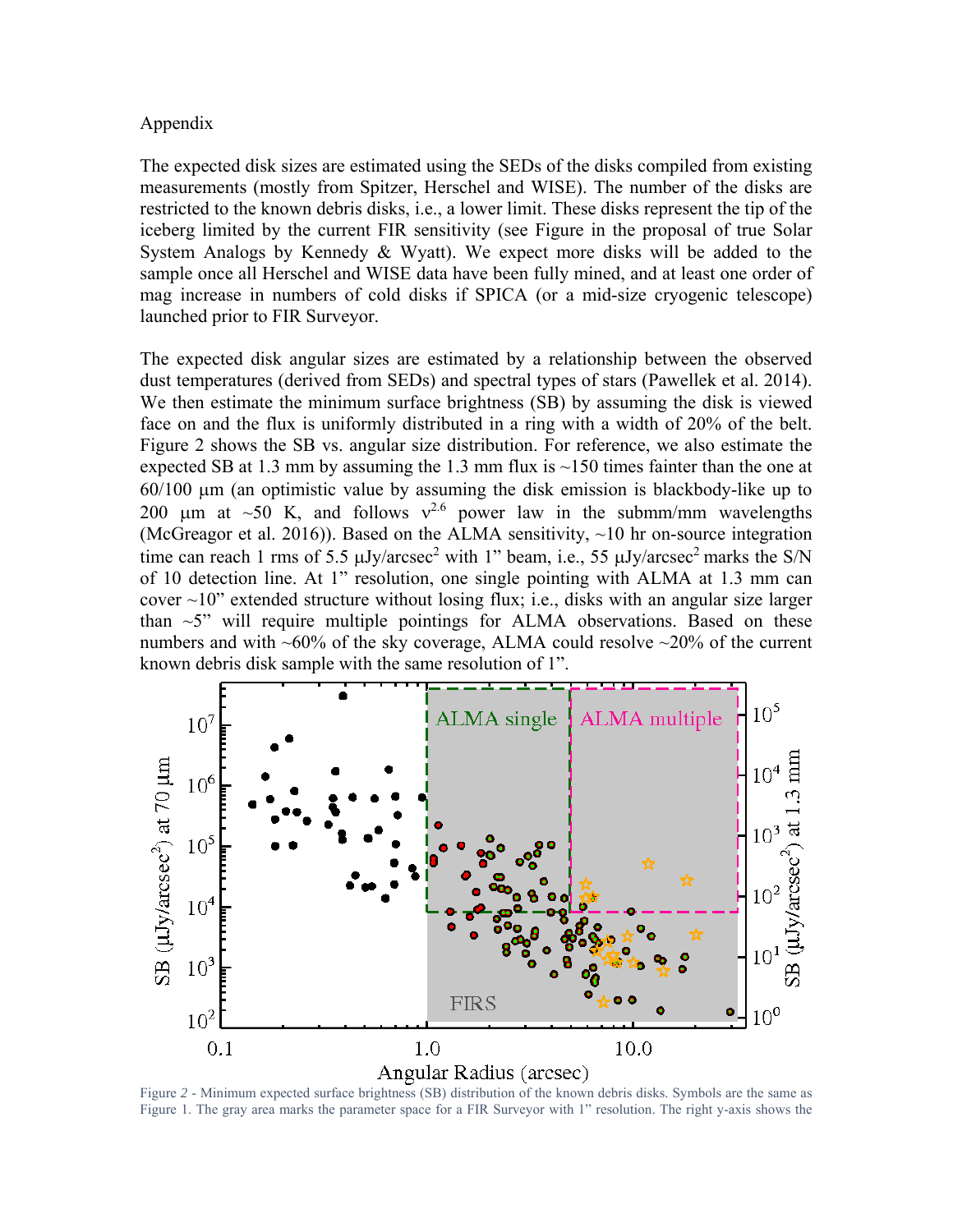#### Appendix

The expected disk sizes are estimated using the SEDs of the disks compiled from existing measurements (mostly from Spitzer, Herschel and WISE). The number of the disks are restricted to the known debris disks, i.e., a lower limit. These disks represent the tip of the iceberg limited by the current FIR sensitivity (see Figure in the proposal of true Solar System Analogs by Kennedy & Wyatt). We expect more disks will be added to the sample once all Herschel and WISE data have been fully mined, and at least one order of mag increase in numbers of cold disks if SPICA (or a mid-size cryogenic telescope) launched prior to FIR Surveyor.

The expected disk angular sizes are estimated by a relationship between the observed dust temperatures (derived from SEDs) and spectral types of stars (Pawellek et al. 2014). We then estimate the minimum surface brightness (SB) by assuming the disk is viewed face on and the flux is uniformly distributed in a ring with a width of 20% of the belt. Figure 2 shows the SB vs. angular size distribution. For reference, we also estimate the expected SB at 1.3 mm by assuming the 1.3 mm flux is  $\sim$ 150 times fainter than the one at  $60/100$   $\mu$ m (an optimistic value by assuming the disk emission is blackbody-like up to 200 um at ~50 K, and follows  $v^{2.6}$  power law in the submm/mm wavelengths (McGreagor et al. 2016)). Based on the ALMA sensitivity,  $\sim$ 10 hr on-source integration time can reach 1 rms of 5.5  $\mu$ Jy/arcsec<sup>2</sup> with 1" beam, i.e., 55  $\mu$ Jy/arcsec<sup>2</sup> marks the S/N of 10 detection line. At 1" resolution, one single pointing with ALMA at 1.3 mm can cover  $\sim$ 10" extended structure without losing flux; i.e., disks with an angular size larger than  $\sim$ 5" will require multiple pointings for ALMA observations. Based on these numbers and with  $~60\%$  of the sky coverage, ALMA could resolve  $~20\%$  of the current known debris disk sample with the same resolution of 1".



Figure *2* - Minimum expected surface brightness (SB) distribution of the known debris disks. Symbols are the same as Figure 1. The gray area marks the parameter space for a FIR Surveyor with 1" resolution. The right y-axis shows the